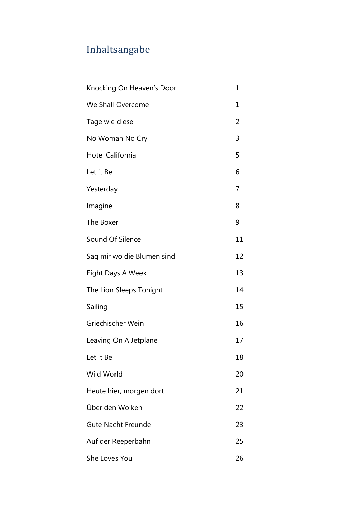# Inhaltsangabe

| Knocking On Heaven's Door  | 1  |
|----------------------------|----|
| We Shall Overcome          | 1  |
| Tage wie diese             | 2  |
| No Woman No Cry            | 3  |
| <b>Hotel California</b>    | 5  |
| Let it Be                  | 6  |
| Yesterday                  | 7  |
| Imagine                    | 8  |
| The Boxer                  | 9  |
| Sound Of Silence           | 11 |
| Sag mir wo die Blumen sind | 12 |
| Eight Days A Week          | 13 |
| The Lion Sleeps Tonight    | 14 |
| Sailing                    | 15 |
| Griechischer Wein          | 16 |
| Leaving On A Jetplane      | 17 |
| Let it Be                  | 18 |
| Wild World                 | 20 |
| Heute hier, morgen dort    | 21 |
| Über den Wolken            | 22 |
| <b>Gute Nacht Freunde</b>  | 23 |
| Auf der Reeperbahn         | 25 |
| She Loves You              | 26 |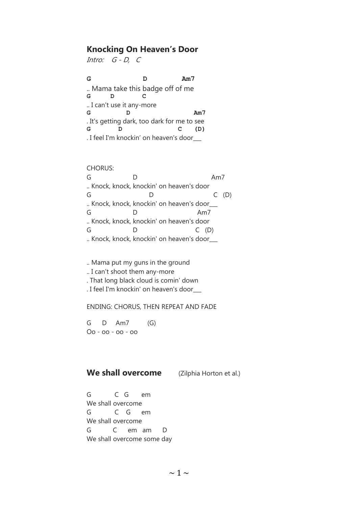# **Knocking On Heaven's Door**

Intro:  $G - D$ ,  $C$ 

**G D Am7**  .. Mama take this badge off of me **G D C**  .. I can't use it any-more **G D Am7**  . It's getting dark, too dark for me to see **G D C (D)**  . I feel I'm knockin' on heaven's door\_\_\_

| <b>CHORUS:</b> |                                         |        |     |  |
|----------------|-----------------------------------------|--------|-----|--|
| G              |                                         |        | Am7 |  |
|                | Knock, knock, knockin' on heaven's door |        |     |  |
| G              |                                         |        |     |  |
|                | Knock, knock, knockin' on heaven's door |        |     |  |
| G              |                                         | Am $7$ |     |  |
|                | Knock, knock, knockin' on heaven's door |        |     |  |
| G              |                                         |        | (D) |  |
|                | Knock, knock, knockin' on heaven's door |        |     |  |

.. Mama put my guns in the ground

.. I can't shoot them any-more

. That long black cloud is comin' down

. I feel I'm knockin' on heaven's door\_\_\_

ENDING: CHORUS, THEN REPEAT AND FADE

G D Am7 (G) Oo - oo - oo - oo

## **We shall overcome** (Zilphia Horton et al.)

G C G em We shall overcome G C G em We shall overcome G C em am D We shall overcome some day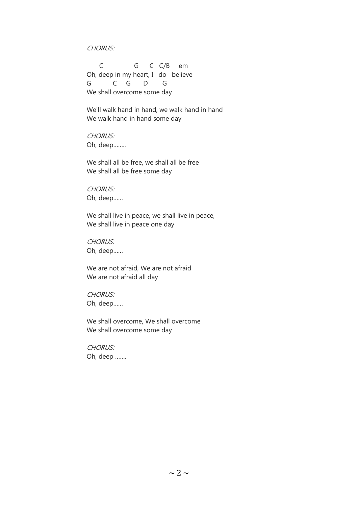#### CHORUS:

 C G C C/B em Oh, deep in my heart, I do believe G C G D G We shall overcome some day

We'll walk hand in hand, we walk hand in hand We walk hand in hand some day

CHORUS: Oh, deep……..

We shall all be free, we shall all be free We shall all be free some day

CHORUS: Oh, deep……

We shall live in peace, we shall live in peace, We shall live in peace one day

CHORUS: Oh, deep……

We are not afraid, We are not afraid We are not afraid all day

CHORUS: Oh, deep……

We shall overcome, We shall overcome We shall overcome some day

CHORUS: Oh, deep …….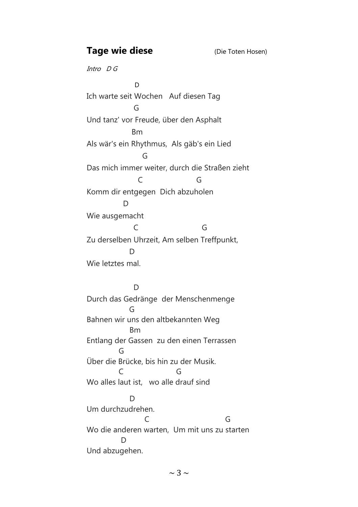# Tage wie diese **Communist Communist Communist Communist Communist Communist Communist Communist Communist Communist Communist Communist Communist Communist Communist Communist Communist Communist Communist Communist Commun** Intro DG **D** Ich warte seit Wochen Auf diesen Tag G Und tanz' vor Freude, über den Asphalt Bm Als wär's ein Rhythmus, Als gäb's ein Lied **G** G Das mich immer weiter, durch die Straßen zieht C G Komm dir entgegen Dich abzuholen

 $\mathsf{D}$ Wie ausgemacht C G Zu derselben Uhrzeit, Am selben Treffpunkt, D Wie letztes mal.

 D Durch das Gedränge der Menschenmenge G Bahnen wir uns den altbekannten Weg Bm Entlang der Gassen zu den einen Terrassen G Über die Brücke, bis hin zu der Musik. C G Wo alles laut ist, wo alle drauf sind  $\mathsf{D}$ Um durchzudrehen. C G Wo die anderen warten, Um mit uns zu starten D Und abzugehen.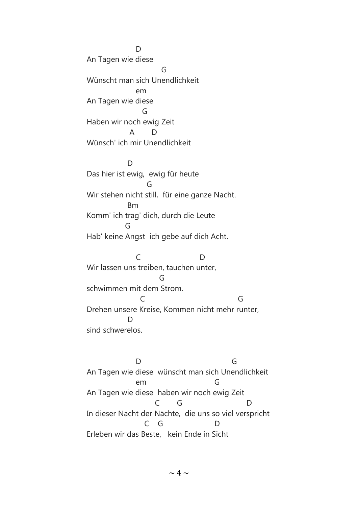D An Tagen wie diese **G** G Wünscht man sich Unendlichkeit em An Tagen wie diese **G** Haben wir noch ewig Zeit A D Wünsch' ich mir Unendlichkeit

 $\mathsf{D}$ Das hier ist ewig, ewig für heute **G** G Wir stehen nicht still, für eine ganze Nacht. Bm Komm' ich trag' dich, durch die Leute **G** Hab' keine Angst ich gebe auf dich Acht.

 C D Wir lassen uns treiben, tauchen unter, **G** G schwimmen mit dem Strom. C G Drehen unsere Kreise, Kommen nicht mehr runter, D sind schwerelos.

 D G An Tagen wie diese wünscht man sich Unendlichkeit em G An Tagen wie diese haben wir noch ewig Zeit C G D In dieser Nacht der Nächte, die uns so viel verspricht C G D Erleben wir das Beste, kein Ende in Sicht

 $\sim 4 \sim$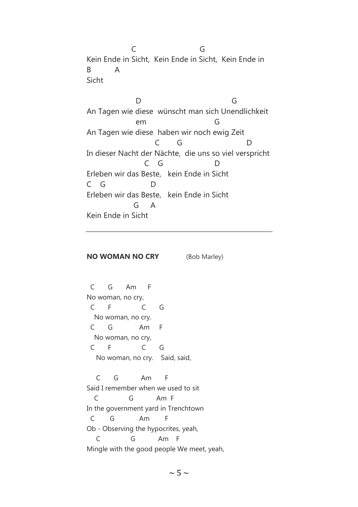C G Kein Ende in Sicht, Kein Ende in Sicht, Kein Ende in B A Sicht

 D G An Tagen wie diese wünscht man sich Unendlichkeit em G An Tagen wie diese haben wir noch ewig Zeit C G D In dieser Nacht der Nächte, die uns so viel verspricht C G D Erleben wir das Beste, kein Ende in Sicht  $C$  G D Erleben wir das Beste, kein Ende in Sicht G A Kein Ende in Sicht

## **NO WOMAN NO CRY** (Bob Marley)

 C G Am F No woman, no cry, C F C G No woman, no cry. C G Am F No woman, no cry, C F C G No woman, no cry. Said, said, C G Am F

Said I remember when we used to sit C G Am F In the government yard in Trenchtown C G Am F Ob - Observing the hypocrites, yeah, C G Am F Mingle with the good people We meet, yeah,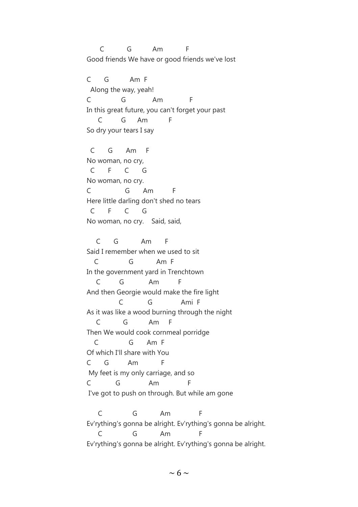C G Am F Good friends We have or good friends we've lost

C G Am F Along the way, yeah! C G Am F In this great future, you can't forget your past C G Am F So dry your tears I say

 C G Am F No woman, no cry, C F C G No woman, no cry. C G Am F Here little darling don't shed no tears C F C G No woman, no cry. Said, said,

 C G Am F Said I remember when we used to sit C G Am F In the government yard in Trenchtown C G Am F And then Georgie would make the fire light C G Ami F As it was like a wood burning through the night C G Am F Then We would cook cornmeal porridge C G Am F Of which I'll share with You C G Am F My feet is my only carriage, and so C G Am F I've got to push on through. But while am gone

 C G Am F Ev'rything's gonna be alright. Ev'rything's gonna be alright. C G Am F Ev'rything's gonna be alright. Ev'rything's gonna be alright.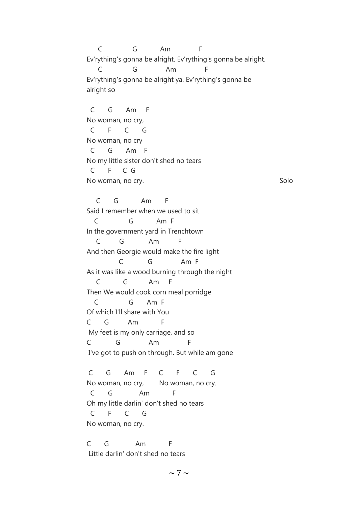C G Am F Ev'rything's gonna be alright. Ev'rything's gonna be alright. C G Am F Ev'rything's gonna be alright ya. Ev'rything's gonna be alright so

 C G Am F No woman, no cry, C F C G No woman, no cry C G Am F No my little sister don't shed no tears C F C G No woman, no cry. Solo

 C G Am F Said I remember when we used to sit C G Am F In the government yard in Trenchtown C G Am F And then Georgie would make the fire light C G Am F As it was like a wood burning through the night C G Am F Then We would cook corn meal porridge C G Am F Of which I'll share with You C G Am F My feet is my only carriage, and so C G Am F I've got to push on through. But while am gone

 C G Am F C F C G No woman, no cry, No woman, no cry. C G Am F Oh my little darlin' don't shed no tears C F C G No woman, no cry.

C G Am F Little darlin' don't shed no tears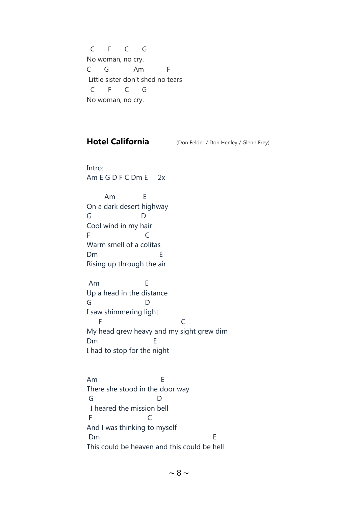C F C G No woman, no cry. C G Am F Little sister don't shed no tears C F C G No woman, no cry.

# **Hotel California** (Don Felder / Don Henley / Glenn Frey) Intro: Am E G D F C Dm E 2x Am E On a dark desert highway G D

Cool wind in my hair F C Warm smell of a colitas Dm E Rising up through the air Am E Up a head in the distance G D I saw shimmering light F C My head grew heavy and my sight grew dim Dm E I had to stop for the night

Am E There she stood in the door way G D I heared the mission bell F C And I was thinking to myself Dm E This could be heaven and this could be hell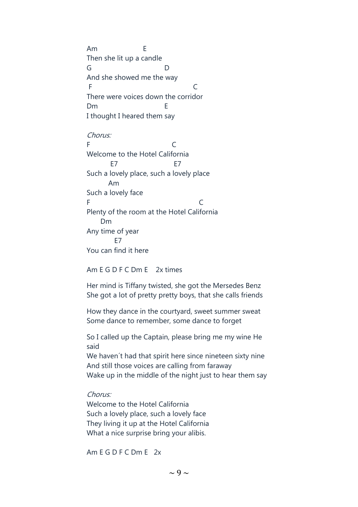Am E Then she lit up a candle G D And she showed me the way F C There were voices down the corridor Dm F I thought I heared them say

Chorus: F C Welcome to the Hotel California E7 E7 Such a lovely place, such a lovely place Am Such a lovely face F C Plenty of the room at the Hotel California Dm Any time of year E7 You can find it here

## Am E G D F C Dm E 2x times

Her mind is Tiffany twisted, she got the Mersedes Benz She got a lot of pretty pretty boys, that she calls friends

How they dance in the courtyard, sweet summer sweat Some dance to remember, some dance to forget

So I called up the Captain, please bring me my wine He said

We haven't had that spirit here since nineteen sixty nine And still those voices are calling from faraway Wake up in the middle of the night just to hear them say

Chorus:

Welcome to the Hotel California Such a lovely place, such a lovely face They living it up at the Hotel California What a nice surprise bring your alibis.

Am E G D F C Dm E 2x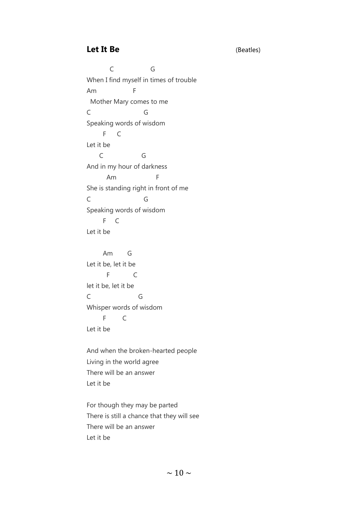# **Let It Be** (Beatles)

 C G When I find myself in times of trouble Am F Mother Mary comes to me C G Speaking words of wisdom F C Let it be C G And in my hour of darkness Am F She is standing right in front of me C G Speaking words of wisdom F C Let it be

 Am G Let it be, let it be F C let it be, let it be C G Whisper words of wisdom F C Let it be

And when the broken-hearted people Living in the world agree There will be an answer Let it be

For though they may be parted There is still a chance that they will see There will be an answer Let it be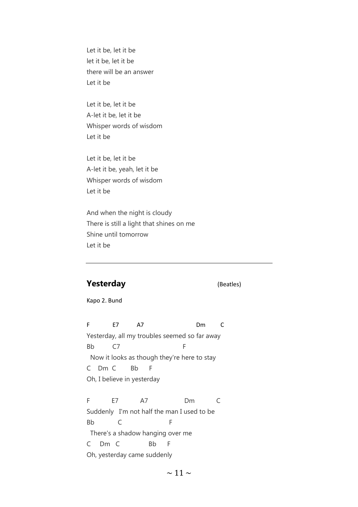Let it be, let it be let it be, let it be there will be an answer Let it be

Let it be, let it be A-let it be, let it be Whisper words of wisdom Let it be

Let it be, let it be A-let it be, yeah, let it be Whisper words of wisdom Let it be

And when the night is cloudy There is still a light that shines on me Shine until tomorrow Let it be

# **Yesterday** (Beatles)

Kapo 2. Bund

F E7 A7 Dm C Yesterday, all my troubles seemed so far away Bb C7 F Now it looks as though they're here to stay C Dm C Bb F Oh, I believe in yesterday

F E7 A7 Dm C Suddenly I'm not half the man I used to be Bb C F There's a shadow hanging over me C Dm C Bb F Oh, yesterday came suddenly

 $\sim$  11  $\sim$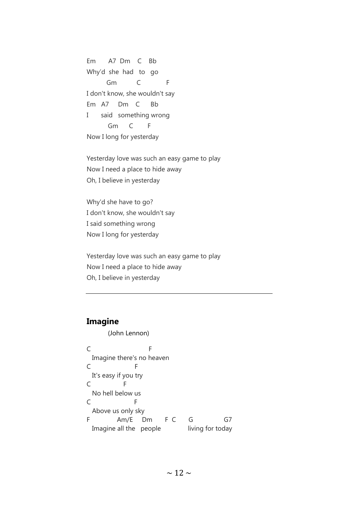Em A7 Dm C Bb Why'd she had to go Gm C F I don't know, she wouldn't say Em A7 Dm C Bb I said something wrong Gm C F Now I long for yesterday

Yesterday love was such an easy game to play Now I need a place to hide away Oh, I believe in yesterday

Why'd she have to go? I don't know, she wouldn't say I said something wrong Now I long for yesterday

Yesterday love was such an easy game to play Now I need a place to hide away Oh, I believe in yesterday

# **Imagine**

(John Lennon)

C F Imagine there's no heaven C F It's easy if you try C F No hell below us C F Above us only sky F Am/E Dm F C G G7 Imagine all the people living for today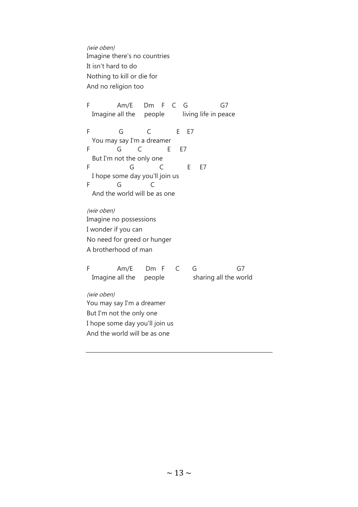(wie oben) Imagine there's no countries It isn't hard to do Nothing to kill or die for And no religion too

F Am/E Dm F C G G7 Imagine all the people living life in peace F G C E E7 You may say I'm a dreamer F G C E E7 But I'm not the only one F G C E E7 I hope some day you'll join us F G C And the world will be as one (wie oben)

Imagine no possessions I wonder if you can No need for greed or hunger A brotherhood of man

F Am/E Dm F C G G7 Imagine all the people sharing all the world (wie oben) You may say I'm a dreamer But I'm not the only one I hope some day you'll join us And the world will be as one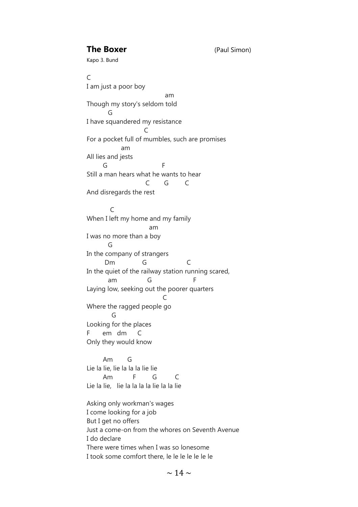#### **The Boxer** (Paul Simon)

Kapo 3. Bund

 $\mathcal{C}$ I am just a poor boy am Though my story's seldom told G I have squandered my resistance  $\mathcal{C}$ For a pocket full of mumbles, such are promises am All lies and jests G F Still a man hears what he wants to hear C G C And disregards the rest  $\mathsf{C}$ When I left my home and my family am I was no more than a boy G In the company of strangers Dm G C In the quiet of the railway station running scared, am G F Laying low, seeking out the poorer quarters **C** C Where the ragged people go G Looking for the places F em dm C Only they would know Am G Lie la lie, lie la la la lie lie Am F G C Lie la lie, lie la la la la lie la la lie Asking only workman's wages I come looking for a job But I get no offers Just a come-on from the whores on Seventh Avenue I do declare There were times when I was so lonesome I took some comfort there, le le le le le le le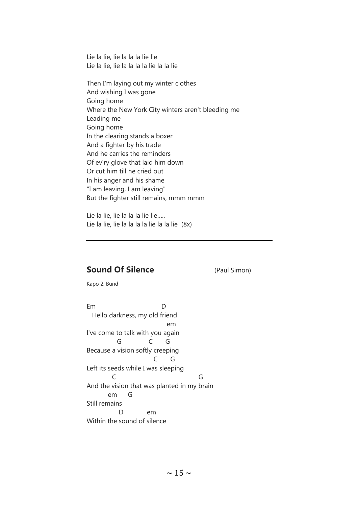Lie la lie, lie la la la lie lie Lie la lie, lie la la la la lie la la lie

Then I'm laying out my winter clothes And wishing I was gone Going home Where the New York City winters aren't bleeding me Leading me Going home In the clearing stands a boxer And a fighter by his trade And he carries the reminders Of ev'ry glove that laid him down Or cut him till he cried out In his anger and his shame "I am leaving, I am leaving" But the fighter still remains, mmm mmm

Lie la lie, lie la la la lie lie..... Lie la lie, lie la la la la lie la la lie (8x)

# **Sound Of Silence** (Paul Simon)

Kapo 2. Bund

Em D Hello darkness, my old friend em a contra a contra em em antiga em antiga em antiga em antiga em antiga em antiga em antiga em antiga em antiga em antiga em antiga em antiga em antiga em antiga em antiga em antiga em antiga em antiga em antiga em antig I've come to talk with you again G C G Because a vision softly creeping C G Left its seeds while I was sleeping C G And the vision that was planted in my brain em G Still remains D em Within the sound of silence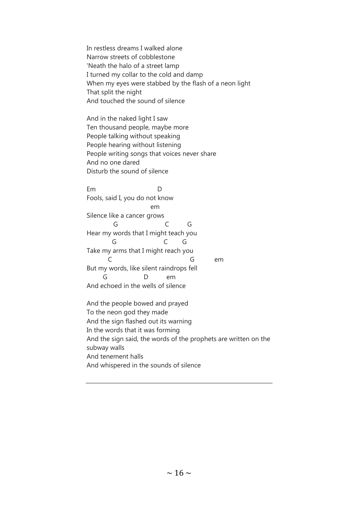In restless dreams I walked alone Narrow streets of cobblestone 'Neath the halo of a street lamp I turned my collar to the cold and damp When my eyes were stabbed by the flash of a neon light That split the night And touched the sound of silence

And in the naked light I saw Ten thousand people, maybe more People talking without speaking People hearing without listening People writing songs that voices never share And no one dared Disturb the sound of silence

Em D Fools, said I, you do not know em Silence like a cancer grows G C G Hear my words that I might teach you G C G Take my arms that I might reach you C G em But my words, like silent raindrops fell G D em And echoed in the wells of silence And the people bowed and prayed

To the neon god they made And the sign flashed out its warning In the words that it was forming And the sign said, the words of the prophets are written on the subway walls And tenement halls And whispered in the sounds of silence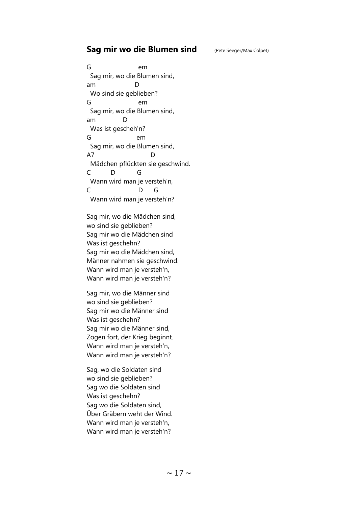# **Sag mir wo die Blumen sind** (Pete Seeger/Max Colpet)

G em Sag mir, wo die Blumen sind, am D Wo sind sie geblieben? G em Sag mir, wo die Blumen sind, am D Was ist gescheh'n? G em Sag mir, wo die Blumen sind, A7 D Mädchen pflückten sie geschwind. C D G Wann wird man je versteh'n, C D G Wann wird man je versteh'n?

Sag mir, wo die Mädchen sind, wo sind sie geblieben? Sag mir wo die Mädchen sind Was ist geschehn? Sag mir wo die Mädchen sind, Männer nahmen sie geschwind. Wann wird man je versteh'n, Wann wird man je versteh'n?

Sag mir, wo die Männer sind wo sind sie geblieben? Sag mir wo die Männer sind Was ist geschehn? Sag mir wo die Männer sind, Zogen fort, der Krieg beginnt. Wann wird man je versteh'n, Wann wird man je versteh'n?

Sag, wo die Soldaten sind wo sind sie geblieben? Sag wo die Soldaten sind Was ist geschehn? Sag wo die Soldaten sind, Über Gräbern weht der Wind. Wann wird man je versteh'n, Wann wird man je versteh'n?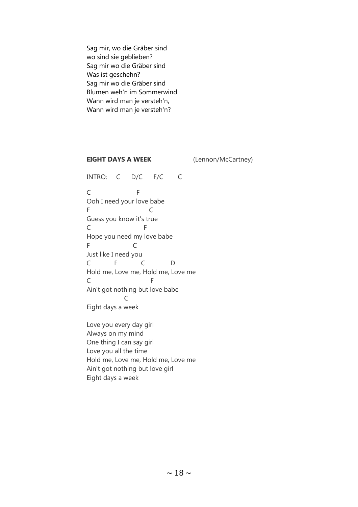Sag mir, wo die Gräber sind wo sind sie geblieben? Sag mir wo die Gräber sind Was ist geschehn? Sag mir wo die Gräber sind Blumen weh'n im Sommerwind. Wann wird man je versteh'n, Wann wird man je versteh'n?

# **EIGHT DAYS A WEEK** (Lennon/McCartney) INTRO: C D/C F/C C C F Ooh I need your love babe F C Guess you know it's true C F Hope you need my love babe F C Just like I need you C F C D Hold me, Love me, Hold me, Love me C F Ain't got nothing but love babe C Eight days a week Love you every day girl Always on my mind One thing I can say girl Love you all the time Hold me, Love me, Hold me, Love me Ain't got nothing but love girl Eight days a week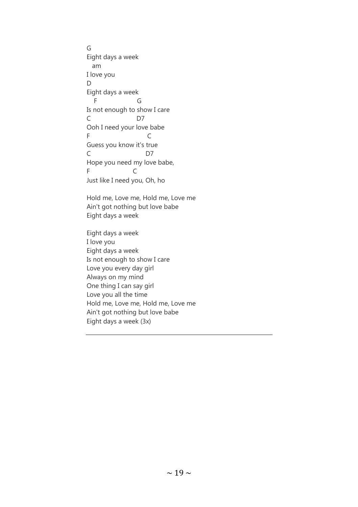G Eight days a week am I love you D Eight days a week F G Is not enough to show I care C D7 Ooh I need your love babe F C Guess you know it's true C D7 Hope you need my love babe, F C Just like I need you, Oh, ho

Hold me, Love me, Hold me, Love me Ain't got nothing but love babe Eight days a week

Eight days a week I love you Eight days a week Is not enough to show I care Love you every day girl Always on my mind One thing I can say girl Love you all the time Hold me, Love me, Hold me, Love me Ain't got nothing but love babe Eight days a week (3x)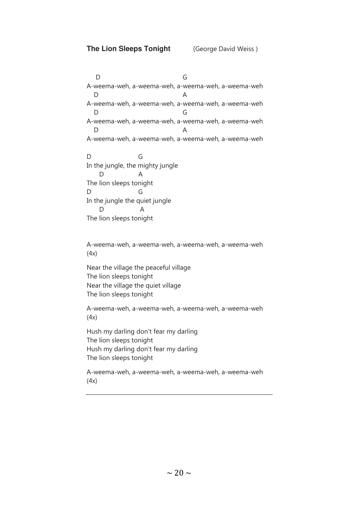D<sub>G</sub> A-weema-weh, a-weema-weh, a-weema-weh, a-weema-weh D A A-weema-weh, a-weema-weh, a-weema-weh, a-weema-weh D<sub>G</sub> A-weema-weh, a-weema-weh, a-weema-weh, a-weema-weh D A A-weema-weh, a-weema-weh, a-weema-weh, a-weema-weh

D G In the jungle, the mighty jungle D A The lion sleeps tonight D G In the jungle the quiet jungle D A The lion sleeps tonight

A-weema-weh, a-weema-weh, a-weema-weh, a-weema-weh (4x)

Near the village the peaceful village The lion sleeps tonight Near the village the quiet village The lion sleeps tonight

A-weema-weh, a-weema-weh, a-weema-weh, a-weema-weh (4x)

Hush my darling don't fear my darling The lion sleeps tonight Hush my darling don't fear my darling The lion sleeps tonight

A-weema-weh, a-weema-weh, a-weema-weh, a-weema-weh (4x)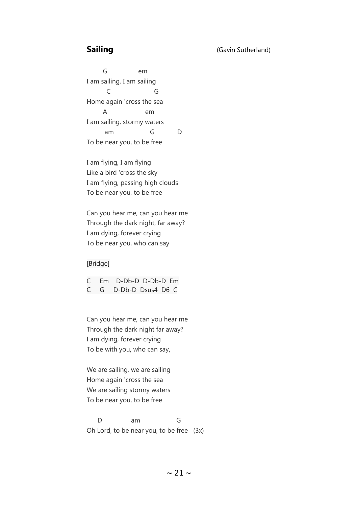### **Sailing Sailing Cavin Sutherland**)

 G em I am sailing, I am sailing C G Home again 'cross the sea A em I am sailing, stormy waters am G D To be near you, to be free

I am flying, I am flying Like a bird 'cross the sky I am flying, passing high clouds To be near you, to be free

Can you hear me, can you hear me Through the dark night, far away? I am dying, forever crying To be near you, who can say

#### [Bridge]

|  | C Em D-Db-D D-Db-D Em |  |  |
|--|-----------------------|--|--|
|  | C G D-Db-D Dsus4 D6 C |  |  |

Can you hear me, can you hear me Through the dark night far away? I am dying, forever crying To be with you, who can say,

We are sailing, we are sailing Home again 'cross the sea We are sailing stormy waters To be near you, to be free

 D am G Oh Lord, to be near you, to be free (3x)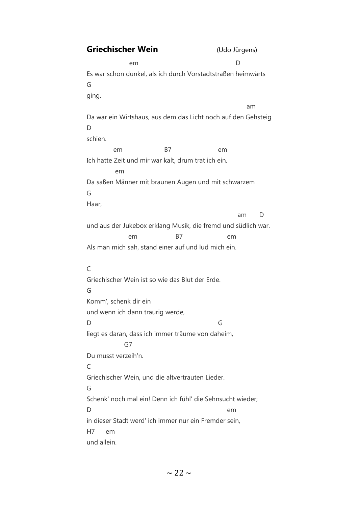**Griechischer Wein** (Udo Jürgens) em D Es war schon dunkel, als ich durch Vorstadtstraßen heimwärts G ging. am Da war ein Wirtshaus, aus dem das Licht noch auf den Gehsteig D schien. em B7 em Ich hatte Zeit und mir war kalt, drum trat ich ein. em Da saßen Männer mit braunen Augen und mit schwarzem G Haar, am D und aus der Jukebox erklang Musik, die fremd und südlich war. em B7 em Als man mich sah, stand einer auf und lud mich ein.  $\mathcal{C}$ Griechischer Wein ist so wie das Blut der Erde. G Komm', schenk dir ein und wenn ich dann traurig werde, D G liegt es daran, dass ich immer träume von daheim, G7 Du musst verzeih'n.  $\mathcal{C}$ Griechischer Wein, und die altvertrauten Lieder. G Schenk' noch mal ein! Denn ich fühl' die Sehnsucht wieder; D em in dieser Stadt werd' ich immer nur ein Fremder sein, H7 em und allein.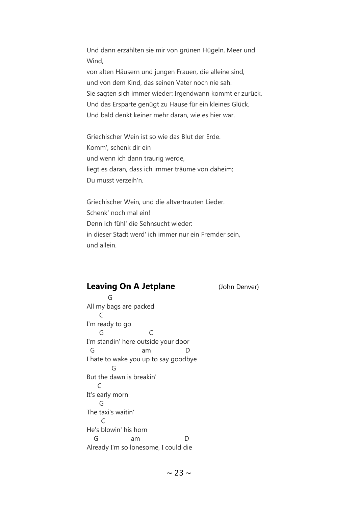Und dann erzählten sie mir von grünen Hügeln, Meer und Wind, von alten Häusern und jungen Frauen, die alleine sind, und von dem Kind, das seinen Vater noch nie sah. Sie sagten sich immer wieder: Irgendwann kommt er zurück. Und das Ersparte genügt zu Hause für ein kleines Glück.

Und bald denkt keiner mehr daran, wie es hier war.

Griechischer Wein ist so wie das Blut der Erde. Komm', schenk dir ein und wenn ich dann traurig werde, liegt es daran, dass ich immer träume von daheim; Du musst verzeih'n.

Griechischer Wein, und die altvertrauten Lieder. Schenk' noch mal ein! Denn ich fühl' die Sehnsucht wieder: in dieser Stadt werd' ich immer nur ein Fremder sein, und allein.

# **Leaving On A Jetplane** (John Denver)

 G All my bags are packed C I'm ready to go G C I'm standin' here outside your door G am D I hate to wake you up to say goodbye G But the dawn is breakin' C It's early morn G The taxi's waitin'  $\subset$ He's blowin' his horn G am D Already I'm so lonesome, I could die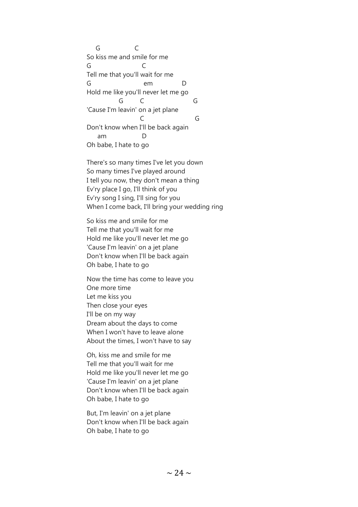G C So kiss me and smile for me G C Tell me that you'll wait for me G em D Hold me like you'll never let me go G C G 'Cause I'm leavin' on a jet plane C G Don't know when I'll be back again am D Oh babe, I hate to go

There's so many times I've let you down So many times I've played around I tell you now, they don't mean a thing Ev'ry place I go, I'll think of you Ev'ry song I sing, I'll sing for you When I come back, I'll bring your wedding ring

So kiss me and smile for me Tell me that you'll wait for me Hold me like you'll never let me go 'Cause I'm leavin' on a jet plane Don't know when I'll be back again Oh babe, I hate to go

Now the time has come to leave you One more time Let me kiss you Then close your eyes I'll be on my way Dream about the days to come When I won't have to leave alone About the times, I won't have to say

Oh, kiss me and smile for me Tell me that you'll wait for me Hold me like you'll never let me go 'Cause I'm leavin' on a jet plane Don't know when I'll be back again Oh babe, I hate to go

But, I'm leavin' on a jet plane Don't know when I'll be back again Oh babe, I hate to go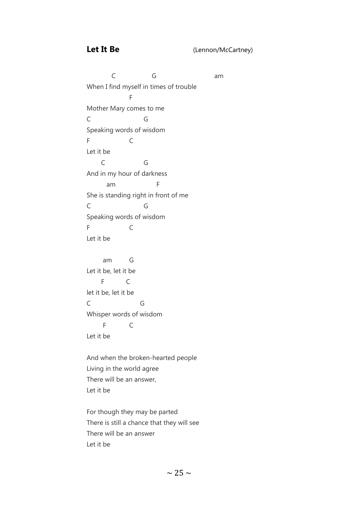**Let It Be** (Lennon/McCartney)

C G am When I find myself in times of trouble Fig. 1. Sept. 1. F Mother Mary comes to me C G Speaking words of wisdom F C Let it be C G And in my hour of darkness am F She is standing right in front of me C G Speaking words of wisdom F C Let it be am G Let it be, let it be F C let it be, let it be

C G Whisper words of wisdom F C Let it be

And when the broken-hearted people Living in the world agree There will be an answer, Let it be

For though they may be parted There is still a chance that they will see There will be an answer Let it be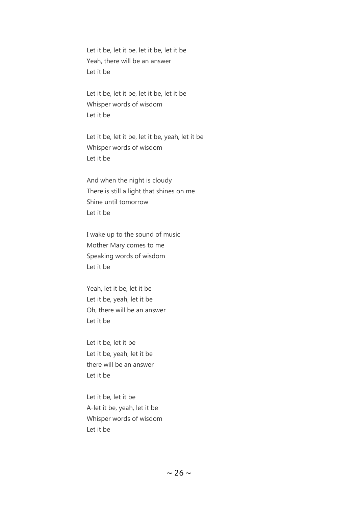Let it be, let it be, let it be, let it be Yeah, there will be an answer Let it be

Let it be, let it be, let it be, let it be Whisper words of wisdom Let it be

Let it be, let it be, let it be, yeah, let it be Whisper words of wisdom Let it be

And when the night is cloudy There is still a light that shines on me Shine until tomorrow Let it be

I wake up to the sound of music Mother Mary comes to me Speaking words of wisdom Let it be

Yeah, let it be, let it be Let it be, yeah, let it be Oh, there will be an answer Let it be

Let it be, let it be Let it be, yeah, let it be there will be an answer Let it be

Let it be, let it be A-let it be, yeah, let it be Whisper words of wisdom Let it be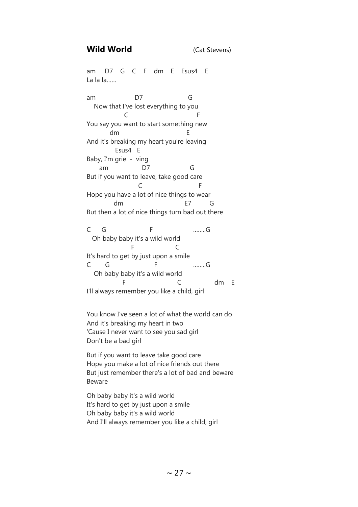## **Wild World** (Cat Stevens)

am D7 G C F dm E Esus4 E La la la……

am D7 G Now that I've lost everything to you C<sub>F</sub> You say you want to start something new dm E And it's breaking my heart you're leaving Esus4 E Baby, I'm grie - ving am D7 G But if you want to leave, take good care C<sub>F</sub> Hope you have a lot of nice things to wear dm E7 G But then a lot of nice things turn bad out there

C G F ……..G Oh baby baby it's a wild world **F** C It's hard to get by just upon a smile C G F ……..G Oh baby baby it's a wild world F C dm E I'll always remember you like a child, girl

You know I've seen a lot of what the world can do And it's breaking my heart in two 'Cause I never want to see you sad girl Don't be a bad girl

But if you want to leave take good care Hope you make a lot of nice friends out there But just remember there's a lot of bad and beware Beware

Oh baby baby it's a wild world It's hard to get by just upon a smile Oh baby baby it's a wild world And I'll always remember you like a child, girl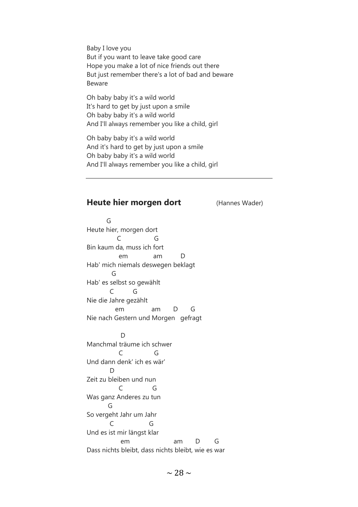Baby I love you But if you want to leave take good care Hope you make a lot of nice friends out there But just remember there's a lot of bad and beware Beware

Oh baby baby it's a wild world It's hard to get by just upon a smile Oh baby baby it's a wild world And I'll always remember you like a child, girl

Oh baby baby it's a wild world And it's hard to get by just upon a smile Oh baby baby it's a wild world And I'll always remember you like a child, girl

# **Heute hier morgen dort** (Hannes Wader)

 G Heute hier, morgen dort C G Bin kaum da, muss ich fort em am D Hab' mich niemals deswegen beklagt G Hab' es selbst so gewählt C G Nie die Jahre gezählt em am D G Nie nach Gestern und Morgen gefragt **D** Manchmal träume ich schwer C G Und dann denk' ich es wär' D Zeit zu bleiben und nun C G Was ganz Anderes zu tun G So vergeht Jahr um Jahr C G Und es ist mir längst klar em am D G Dass nichts bleibt, dass nichts bleibt, wie es war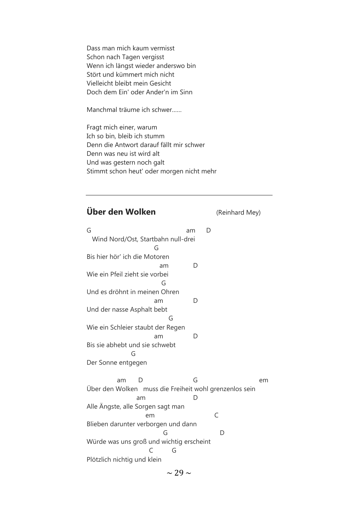Dass man mich kaum vermisst Schon nach Tagen vergisst Wenn ich längst wieder anderswo bin Stört und kümmert mich nicht Vielleicht bleibt mein Gesicht Doch dem Ein' oder Ander'n im Sinn

Manchmal träume ich schwer……

Fragt mich einer, warum Ich so bin, bleib ich stumm Denn die Antwort darauf fällt mir schwer Denn was neu ist wird alt Und was gestern noch galt Stimmt schon heut' oder morgen nicht mehr

# **Über den Wolken** (Reinhard Mey)

| Wind Nord/Ost, Startbahn null-drei<br>G<br>Bis hier hör' ich die Motoren<br>D<br>am<br>Wie ein Pfeil zieht sie vorbei<br>G<br>Und es dröhnt in meinen Ohren<br>D<br>am<br>Und der nasse Asphalt bebt<br>G<br>Wie ein Schleier staubt der Regen |
|------------------------------------------------------------------------------------------------------------------------------------------------------------------------------------------------------------------------------------------------|
|                                                                                                                                                                                                                                                |
|                                                                                                                                                                                                                                                |
|                                                                                                                                                                                                                                                |
|                                                                                                                                                                                                                                                |
|                                                                                                                                                                                                                                                |
|                                                                                                                                                                                                                                                |
|                                                                                                                                                                                                                                                |
|                                                                                                                                                                                                                                                |
|                                                                                                                                                                                                                                                |
|                                                                                                                                                                                                                                                |
| D<br>am                                                                                                                                                                                                                                        |
| Bis sie abhebt und sie schwebt                                                                                                                                                                                                                 |
| G                                                                                                                                                                                                                                              |
| Der Sonne entgegen                                                                                                                                                                                                                             |
|                                                                                                                                                                                                                                                |
| G<br>am<br>em                                                                                                                                                                                                                                  |
| Über den Wolken muss die Freiheit wohl grenzenlos sein                                                                                                                                                                                         |
| D<br>am                                                                                                                                                                                                                                        |
| Alle Angste, alle Sorgen sagt man                                                                                                                                                                                                              |
| C<br>em                                                                                                                                                                                                                                        |
| Blieben darunter verborgen und dann                                                                                                                                                                                                            |
| D<br>G                                                                                                                                                                                                                                         |
| Würde was uns groß und wichtig erscheint                                                                                                                                                                                                       |
| C<br>G                                                                                                                                                                                                                                         |
| Plötzlich nichtig und klein                                                                                                                                                                                                                    |
| $\sim$ 29 $\sim$                                                                                                                                                                                                                               |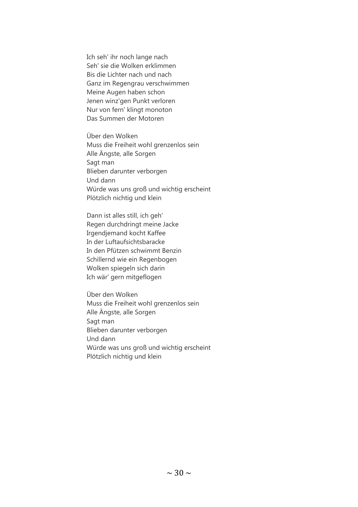Ich seh' ihr noch lange nach Seh' sie die Wolken erklimmen Bis die Lichter nach und nach Ganz im Regengrau verschwimmen Meine Augen haben schon Jenen winz'gen Punkt verloren Nur von fern' klingt monoton Das Summen der Motoren

Über den Wolken Muss die Freiheit wohl grenzenlos sein Alle Ängste, alle Sorgen Sagt man Blieben darunter verborgen Und dann Würde was uns groß und wichtig erscheint Plötzlich nichtig und klein

Dann ist alles still, ich geh' Regen durchdringt meine Jacke Irgendjemand kocht Kaffee In der Luftaufsichtsbaracke In den Pfützen schwimmt Benzin Schillernd wie ein Regenbogen Wolken spiegeln sich darin Ich wär' gern mitgeflogen

Über den Wolken Muss die Freiheit wohl grenzenlos sein Alle Ängste, alle Sorgen Sagt man Blieben darunter verborgen Und dann Würde was uns groß und wichtig erscheint Plötzlich nichtig und klein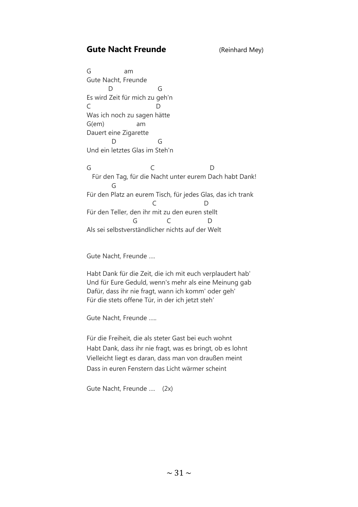# **Gute Nacht Freunde** (Reinhard Mey)

G am Gute Nacht, Freunde D G Es wird Zeit für mich zu geh'n C D Was ich noch zu sagen hätte G(em) am Dauert eine Zigarette D G Und ein letztes Glas im Steh'n G C D Für den Tag, für die Nacht unter eurem Dach habt Dank! G Für den Platz an eurem Tisch, für jedes Glas, das ich trank C D Für den Teller, den ihr mit zu den euren stellt G C D Als sei selbstverständlicher nichts auf der Welt

Gute Nacht, Freunde ….

Habt Dank für die Zeit, die ich mit euch verplaudert hab' Und für Eure Geduld, wenn's mehr als eine Meinung gab Dafür, dass ihr nie fragt, wann ich komm' oder geh' Für die stets offene Tür, in der ich jetzt steh'

Gute Nacht, Freunde …..

Für die Freiheit, die als steter Gast bei euch wohnt Habt Dank, dass ihr nie fragt, was es bringt, ob es lohnt Vielleicht liegt es daran, dass man von draußen meint Dass in euren Fenstern das Licht wärmer scheint

Gute Nacht, Freunde …. (2x)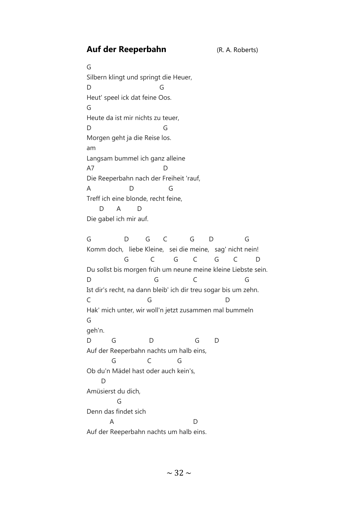# **Auf der Reeperbahn** (R. A. Roberts)

G Silbern klingt und springt die Heuer, D G Heut' speel ick dat feine Oos. G Heute da ist mir nichts zu teuer, D G Morgen geht ja die Reise los. am Langsam bummel ich ganz alleine A7 D Die Reeperbahn nach der Freiheit 'rauf, A D G Treff ich eine blonde, recht feine, D A D Die gabel ich mir auf.

G D G C G D G Komm doch, liebe Kleine, sei die meine, sag' nicht nein! G C G C G C D Du sollst bis morgen früh um neune meine kleine Liebste sein. D G C G Ist dir's recht, na dann bleib' ich dir treu sogar bis um zehn. C G D Hak' mich unter, wir woll'n jetzt zusammen mal bummeln G geh'n. D G D G D Auf der Reeperbahn nachts um halb eins, G C G Ob du'n Mädel hast oder auch kein's, D Amüsierst du dich, G Denn das findet sich A D Auf der Reeperbahn nachts um halb eins.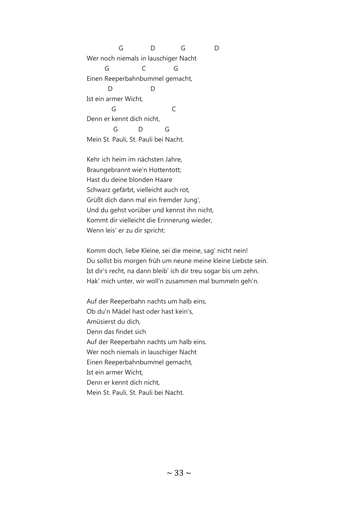G D G D Wer noch niemals in lauschiger Nacht G C G Einen Reeperbahnbummel gemacht, D D Ist ein armer Wicht, G C Denn er kennt dich nicht, G D G Mein St. Pauli, St. Pauli bei Nacht.

Kehr ich heim im nächsten Jahre, Braungebrannt wie'n Hottentott; Hast du deine blonden Haare Schwarz gefärbt, vielleicht auch rot, Grüßt dich dann mal ein fremder Jung', Und du gehst vorüber und kennst ihn nicht, Kommt dir vielleicht die Erinnerung wieder, Wenn leis' er zu dir spricht:

Komm doch, liebe Kleine, sei die meine, sag' nicht nein! Du sollst bis morgen früh um neune meine kleine Liebste sein. Ist dir's recht, na dann bleib' ich dir treu sogar bis um zehn. Hak' mich unter, wir woll'n zusammen mal bummeln geh'n.

Auf der Reeperbahn nachts um halb eins, Ob du'n Mädel hast oder hast kein's, Amüsierst du dich, Denn das findet sich Auf der Reeperbahn nachts um halb eins. Wer noch niemals in lauschiger Nacht Einen Reeperbahnbummel gemacht, Ist ein armer Wicht, Denn er kennt dich nicht, Mein St. Pauli, St. Pauli bei Nacht.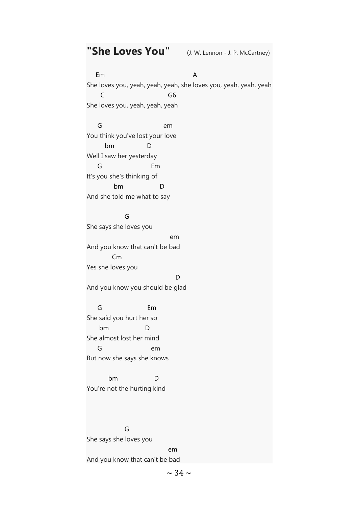# **"She Loves You"** (J. W. Lennon - J. P. McCartney)

 Em A She loves you, yeah, yeah, yeah, she loves you, yeah, yeah, yeah C<sub>2</sub> G6 She loves you, yeah, yeah, yeah G em You think you've lost your love bm D Well I saw her yesterday G Em It's you she's thinking of bm D And she told me what to say G She says she loves you em a construction of the construction of the construction of the construction of the construction of the const And you know that can't be bad Cm Yes she loves you **District of the Contract of the District of the District of the District of the District of the District of t** And you know you should be glad G Em She said you hurt her so bm D She almost lost her mind G em But now she says she knows bm D You're not the hurting kind G She says she loves you em a construction of the construction of the construction of the construction of the construction of the const And you know that can't be bad

 $\sim$  34  $\sim$